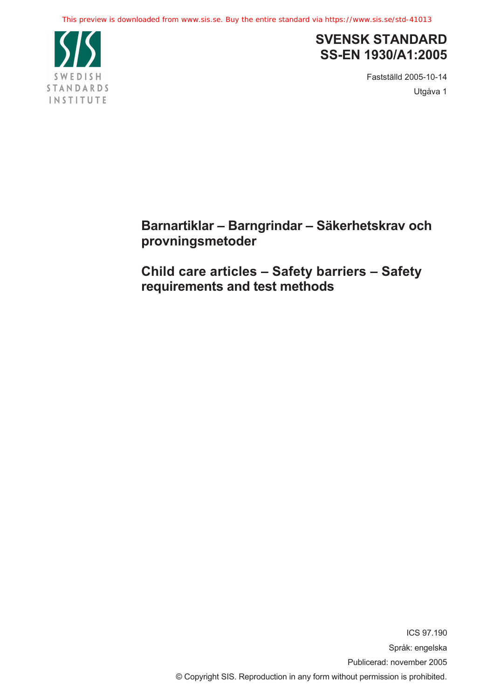

## **SVENSK STANDARD SS-EN 1930/A1:2005**

Fastställd 2005-10-14 Utgåva 1

**Barnartiklar – Barngrindar – Säkerhetskrav och provningsmetoder** 

**Child care articles – Safety barriers – Safety requirements and test methods** 

> ICS 97.190 Språk: engelska Publicerad: november 2005 © Copyright SIS. Reproduction in any form without permission is prohibited.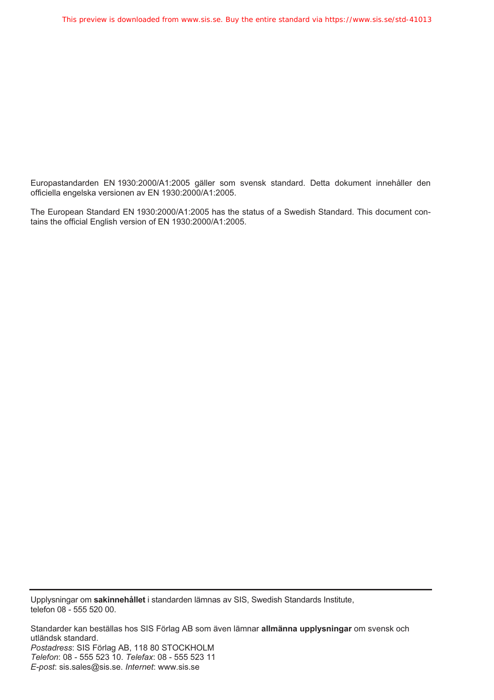Europastandarden EN 1930:2000/A1:2005 gäller som svensk standard. Detta dokument innehåller den officiella engelska versionen av EN 1930:2000/A1:2005.

The European Standard EN 1930:2000/A1:2005 has the status of a Swedish Standard. This document contains the official English version of EN 1930:2000/A1:2005.

Upplysningar om **sakinnehållet** i standarden lämnas av SIS, Swedish Standards Institute, telefon 08 - 555 520 00.

Standarder kan beställas hos SIS Förlag AB som även lämnar **allmänna upplysningar** om svensk och utländsk standard. *Postadress*: SIS Förlag AB, 118 80 STOCKHOLM *Telefon*: 08 - 555 523 10. *Telefax*: 08 - 555 523 11 *E-post*: sis.sales@sis.se. *Internet*: www.sis.se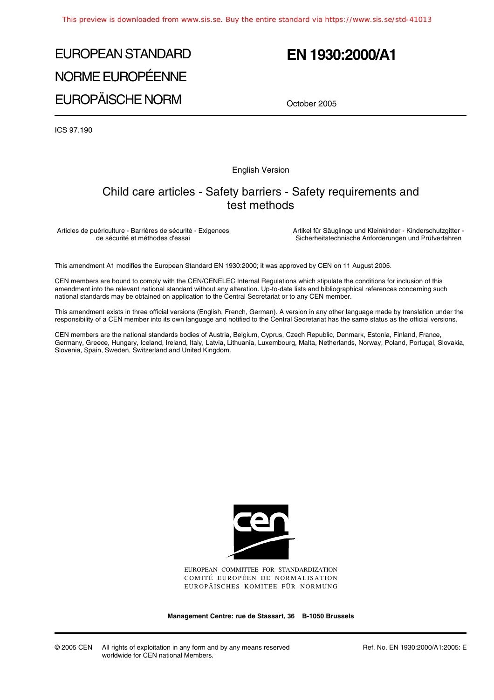# EUROPEAN STANDARD NORME EUROPÉENNE EUROPÄISCHE NORM

# **EN 1930:2000/A1**

October 2005

ICS 97.190

English Version

### Child care articles - Safety barriers - Safety requirements and test methods

Articles de puériculture - Barrières de sécurité - Exigences de sécurité et méthodes d'essai

Artikel für Säuglinge und Kleinkinder - Kinderschutzgitter - Sicherheitstechnische Anforderungen und Prüfverfahren

This amendment A1 modifies the European Standard EN 1930:2000; it was approved by CEN on 11 August 2005.

CEN members are bound to comply with the CEN/CENELEC Internal Regulations which stipulate the conditions for inclusion of this amendment into the relevant national standard without any alteration. Up-to-date lists and bibliographical references concerning such national standards may be obtained on application to the Central Secretariat or to any CEN member.

This amendment exists in three official versions (English, French, German). A version in any other language made by translation under the responsibility of a CEN member into its own language and notified to the Central Secretariat has the same status as the official versions.

CEN members are the national standards bodies of Austria, Belgium, Cyprus, Czech Republic, Denmark, Estonia, Finland, France, Germany, Greece, Hungary, Iceland, Ireland, Italy, Latvia, Lithuania, Luxembourg, Malta, Netherlands, Norway, Poland, Portugal, Slovakia, Slovenia, Spain, Sweden, Switzerland and United Kingdom.



EUROPEAN COMMITTEE FOR STANDARDIZATION COMITÉ EUROPÉEN DE NORMALISATION EUROPÄISCHES KOMITEE FÜR NORMUNG

**Management Centre: rue de Stassart, 36 B-1050 Brussels**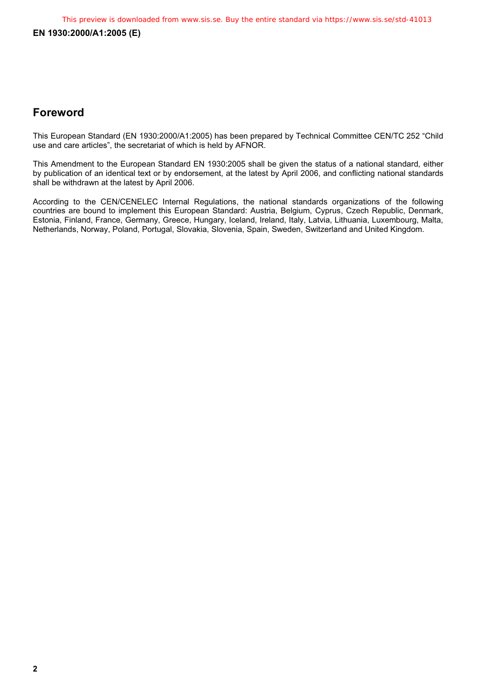### **Foreword**

This European Standard (EN 1930:2000/A1:2005) has been prepared by Technical Committee CEN/TC 252 "Child use and care articles", the secretariat of which is held by AFNOR.

This Amendment to the European Standard EN 1930:2005 shall be given the status of a national standard, either by publication of an identical text or by endorsement, at the latest by April 2006, and conflicting national standards shall be withdrawn at the latest by April 2006.

According to the CEN/CENELEC Internal Regulations, the national standards organizations of the following countries are bound to implement this European Standard: Austria, Belgium, Cyprus, Czech Republic, Denmark, Estonia, Finland, France, Germany, Greece, Hungary, Iceland, Ireland, Italy, Latvia, Lithuania, Luxembourg, Malta, Netherlands, Norway, Poland, Portugal, Slovakia, Slovenia, Spain, Sweden, Switzerland and United Kingdom.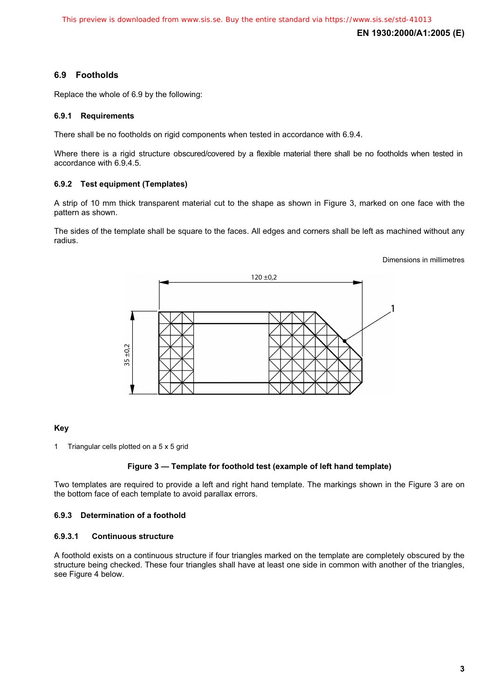**EN 1930:2000/A1:2005 (E)** 

#### **6.9 Footholds**

Replace the whole of 6.9 by the following:

#### **6.9.1 Requirements**

There shall be no footholds on rigid components when tested in accordance with 6.9.4.

Where there is a rigid structure obscured/covered by a flexible material there shall be no footholds when tested in accordance with 6.9.4.5.

#### **6.9.2 Test equipment (Templates)**

A strip of 10 mm thick transparent material cut to the shape as shown in Figure 3, marked on one face with the pattern as shown.

The sides of the template shall be square to the faces. All edges and corners shall be left as machined without any radius.

#### Dimensions in millimetres



#### **Key**

1 Triangular cells plotted on a 5 x 5 grid

#### **Figure 3 — Template for foothold test (example of left hand template)**

Two templates are required to provide a left and right hand template. The markings shown in the Figure 3 are on the bottom face of each template to avoid parallax errors.

#### **6.9.3 Determination of a foothold**

#### **6.9.3.1 Continuous structure**

A foothold exists on a continuous structure if four triangles marked on the template are completely obscured by the structure being checked. These four triangles shall have at least one side in common with another of the triangles, see Figure 4 below.